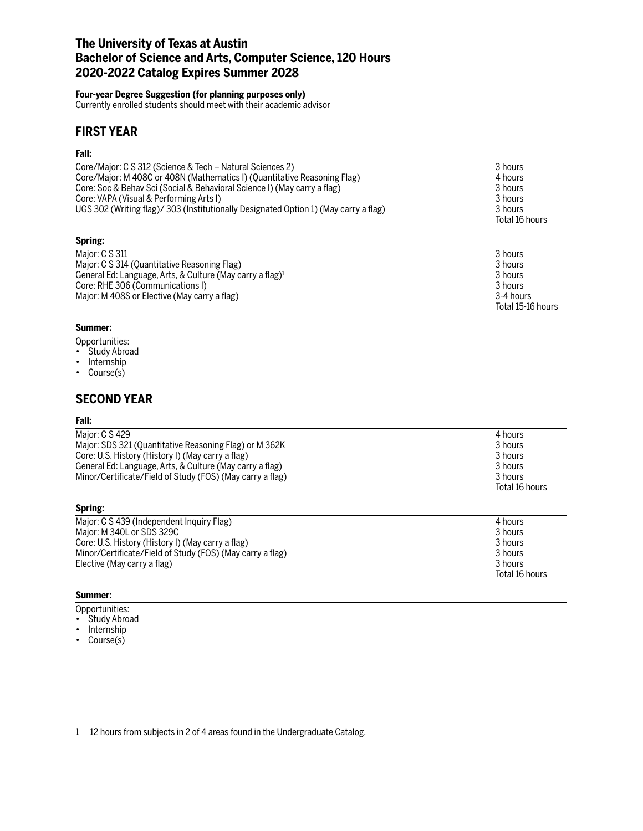# **The University of Texas at Austin Bachelor of Science and Arts, Computer Science, 120 Hours 2020-2022 Catalog Expires Summer 2028**

### **Four-year Degree Suggestion (for planning purposes only)**

Currently enrolled students should meet with their academic advisor

# **FIRST YEAR**

### **Fall:**

| Core/Major: C S 312 (Science & Tech – Natural Sciences 2)                            | 3 hours        |
|--------------------------------------------------------------------------------------|----------------|
| Core/Major: M 408C or 408N (Mathematics I) (Quantitative Reasoning Flag)             | 4 hours        |
| Core: Soc & Behav Sci (Social & Behavioral Science I) (May carry a flag)             | 3 hours        |
| Core: VAPA (Visual & Performing Arts I)                                              | 3 hours        |
| UGS 302 (Writing flag)/ 303 (Institutionally Designated Option 1) (May carry a flag) | 3 hours        |
|                                                                                      | Total 16 hours |
| Spring:                                                                              |                |
| Major: C S 311                                                                       | 3 hours        |
| Major: C S 314 (Quantitative Reasoning Flag)                                         | 3 hours        |
| General Ed: Language, Arts, & Culture (May carry a flag) <sup>1</sup>                | 3 hours        |

Total 15-16 hours

Core: RHE 306 (Communications I) 3 hours Major: M 408S or Elective (May carry a flag) 3-4 hours

#### **Summer:**

- Opportunities:
- Study Abroad
- Internship
- Course(s)

### **SECOND YEAR**

#### **Fall:**

| Maior: C S 429                                            | 4 hours        |
|-----------------------------------------------------------|----------------|
| Major: SDS 321 (Quantitative Reasoning Flag) or M 362K    | 3 hours        |
| Core: U.S. History (History I) (May carry a flag)         | 3 hours        |
| General Ed: Language, Arts, & Culture (May carry a flag)  | 3 hours        |
| Minor/Certificate/Field of Study (FOS) (May carry a flag) | 3 hours        |
|                                                           | Total 16 hours |

| Major: C S 439 (Independent Inquiry Flag)                 | 4 hours        |
|-----------------------------------------------------------|----------------|
| Major: M 340L or SDS 329C                                 | 3 hours        |
| Core: U.S. History (History I) (May carry a flag)         | 3 hours        |
| Minor/Certificate/Field of Study (FOS) (May carry a flag) | 3 hours        |
| Elective (May carry a flag)                               | 3 hours        |
|                                                           | Total 16 hours |

#### **Summer:**

**Spring:**

- Opportunities:
- Study Abroad
- Internship
- Course(s)

<sup>1 12</sup> hours from subjects in 2 of 4 areas found in the Undergraduate Catalog.